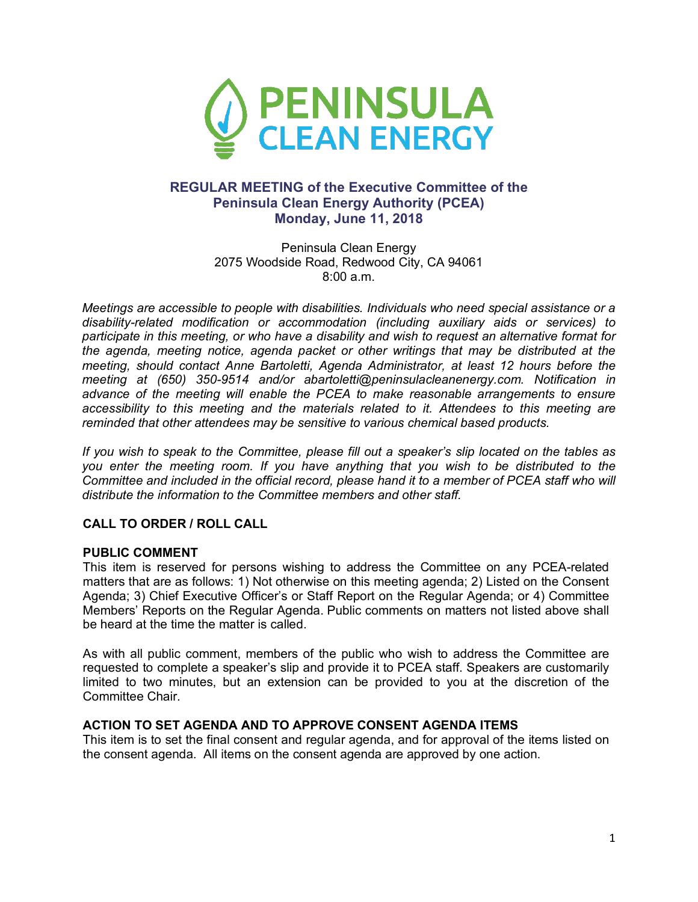

## **REGULAR MEETING of the Executive Committee of the Peninsula Clean Energy Authority (PCEA) Monday, June 11, 2018**

Peninsula Clean Energy 2075 Woodside Road, Redwood City, CA 94061 8:00 a.m.

*Meetings are accessible to people with disabilities. Individuals who need special assistance or a disability-related modification or accommodation (including auxiliary aids or services) to participate in this meeting, or who have a disability and wish to request an alternative format for the agenda, meeting notice, agenda packet or other writings that may be distributed at the meeting, should contact Anne Bartoletti, Agenda Administrator, at least 12 hours before the meeting at (650) 350-9514 and/or abartoletti@peninsulacleanenergy.com. Notification in advance of the meeting will enable the PCEA to make reasonable arrangements to ensure accessibility to this meeting and the materials related to it. Attendees to this meeting are reminded that other attendees may be sensitive to various chemical based products.*

*If you wish to speak to the Committee, please fill out a speaker's slip located on the tables as you enter the meeting room. If you have anything that you wish to be distributed to the Committee and included in the official record, please hand it to a member of PCEA staff who will distribute the information to the Committee members and other staff.*

### **CALL TO ORDER / ROLL CALL**

### **PUBLIC COMMENT**

This item is reserved for persons wishing to address the Committee on any PCEA-related matters that are as follows: 1) Not otherwise on this meeting agenda; 2) Listed on the Consent Agenda; 3) Chief Executive Officer's or Staff Report on the Regular Agenda; or 4) Committee Members' Reports on the Regular Agenda. Public comments on matters not listed above shall be heard at the time the matter is called.

As with all public comment, members of the public who wish to address the Committee are requested to complete a speaker's slip and provide it to PCEA staff. Speakers are customarily limited to two minutes, but an extension can be provided to you at the discretion of the Committee Chair.

#### **ACTION TO SET AGENDA AND TO APPROVE CONSENT AGENDA ITEMS**

This item is to set the final consent and regular agenda, and for approval of the items listed on the consent agenda. All items on the consent agenda are approved by one action.